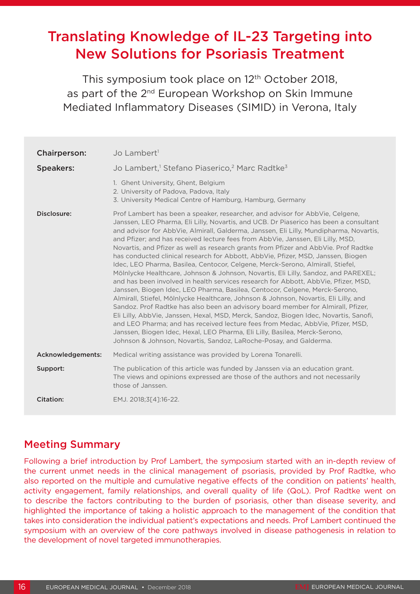# Translating Knowledge of IL-23 Targeting into New Solutions for Psoriasis Treatment

This symposium took place on 12<sup>th</sup> October 2018, as part of the 2<sup>nd</sup> European Workshop on Skin Immune Mediated Inflammatory Diseases (SIMID) in Verona, Italy

| <b>Chairperson:</b> | Jo Lambert <sup>1</sup>                                                                                                                                                                                                                                                                                                                                                                                                                                                                                                                                                                                                                                                                                                                                                                                                                                                                                                                                                                                                                                                                                                                                                                                                                                                                                                                                                               |
|---------------------|---------------------------------------------------------------------------------------------------------------------------------------------------------------------------------------------------------------------------------------------------------------------------------------------------------------------------------------------------------------------------------------------------------------------------------------------------------------------------------------------------------------------------------------------------------------------------------------------------------------------------------------------------------------------------------------------------------------------------------------------------------------------------------------------------------------------------------------------------------------------------------------------------------------------------------------------------------------------------------------------------------------------------------------------------------------------------------------------------------------------------------------------------------------------------------------------------------------------------------------------------------------------------------------------------------------------------------------------------------------------------------------|
| <b>Speakers:</b>    | Jo Lambert, <sup>1</sup> Stefano Piaserico, <sup>2</sup> Marc Radtke <sup>3</sup>                                                                                                                                                                                                                                                                                                                                                                                                                                                                                                                                                                                                                                                                                                                                                                                                                                                                                                                                                                                                                                                                                                                                                                                                                                                                                                     |
|                     | 1. Ghent University, Ghent, Belgium<br>2. University of Padova, Padova, Italy<br>3. University Medical Centre of Hamburg, Hamburg, Germany                                                                                                                                                                                                                                                                                                                                                                                                                                                                                                                                                                                                                                                                                                                                                                                                                                                                                                                                                                                                                                                                                                                                                                                                                                            |
| Disclosure:         | Prof Lambert has been a speaker, researcher, and advisor for AbbVie, Celgene,<br>Janssen, LEO Pharma, Eli Lilly, Novartis, and UCB. Dr Piaserico has been a consultant<br>and advisor for AbbVie, Almirall, Galderma, Janssen, Eli Lilly, Mundipharma, Novartis,<br>and Pfizer; and has received lecture fees from AbbVie, Janssen, Eli Lilly, MSD,<br>Novartis, and Pfizer as well as research grants from Pfizer and AbbVie. Prof Radtke<br>has conducted clinical research for Abbott, AbbVie, Pfizer, MSD, Janssen, Biogen<br>Idec, LEO Pharma, Basilea, Centocor, Celgene, Merck-Serono, Almirall, Stiefel,<br>Mölnlycke Healthcare, Johnson & Johnson, Novartis, Eli Lilly, Sandoz, and PAREXEL;<br>and has been involved in health services research for Abbott, AbbVie, Pfizer, MSD,<br>Janssen, Biogen Idec, LEO Pharma, Basilea, Centocor, Celgene, Merck-Serono,<br>Almirall, Stiefel, Mölnlycke Healthcare, Johnson & Johnson, Novartis, Eli Lilly, and<br>Sandoz. Prof Radtke has also been an advisory board member for Almirall, Pfizer,<br>Eli Lilly, AbbVie, Janssen, Hexal, MSD, Merck, Sandoz, Biogen Idec, Novartis, Sanofi,<br>and LEO Pharma; and has received lecture fees from Medac, AbbVie, Pfizer, MSD,<br>Janssen, Biogen Idec, Hexal, LEO Pharma, Eli Lilly, Basilea, Merck-Serono,<br>Johnson & Johnson, Novartis, Sandoz, LaRoche-Posay, and Galderma. |
| Acknowledgements:   | Medical writing assistance was provided by Lorena Tonarelli.                                                                                                                                                                                                                                                                                                                                                                                                                                                                                                                                                                                                                                                                                                                                                                                                                                                                                                                                                                                                                                                                                                                                                                                                                                                                                                                          |
| Support:            | The publication of this article was funded by Janssen via an education grant.<br>The views and opinions expressed are those of the authors and not necessarily<br>those of Janssen.                                                                                                                                                                                                                                                                                                                                                                                                                                                                                                                                                                                                                                                                                                                                                                                                                                                                                                                                                                                                                                                                                                                                                                                                   |
| Citation:           | EMJ. 2018;3[4]:16-22.                                                                                                                                                                                                                                                                                                                                                                                                                                                                                                                                                                                                                                                                                                                                                                                                                                                                                                                                                                                                                                                                                                                                                                                                                                                                                                                                                                 |

# Meeting Summary

Following a brief introduction by Prof Lambert, the symposium started with an in-depth review of the current unmet needs in the clinical management of psoriasis, provided by Prof Radtke, who also reported on the multiple and cumulative negative effects of the condition on patients' health, activity engagement, family relationships, and overall quality of life (QoL). Prof Radtke went on to describe the factors contributing to the burden of psoriasis, other than disease severity, and highlighted the importance of taking a holistic approach to the management of the condition that takes into consideration the individual patient's expectations and needs. Prof Lambert continued the symposium with an overview of the core pathways involved in disease pathogenesis in relation to the development of novel targeted immunotherapies.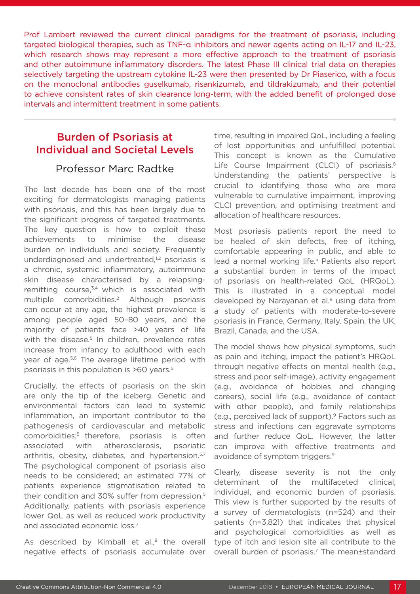Prof Lambert reviewed the current clinical paradigms for the treatment of psoriasis, including targeted biological therapies, such as TNF-α inhibitors and newer agents acting on IL-17 and IL-23, which research shows may represent a more effective approach to the treatment of psoriasis and other autoimmune inflammatory disorders. The latest Phase III clinical trial data on therapies selectively targeting the upstream cytokine IL-23 were then presented by Dr Piaserico, with a focus on the monoclonal antibodies guselkumab, risankizumab, and tildrakizumab, and their potential to achieve consistent rates of skin clearance long-term, with the added benefit of prolonged dose intervals and intermittent treatment in some patients.

# Burden of Psoriasis at Individual and Societal Levels

#### Professor Marc Radtke

The last decade has been one of the most exciting for dermatologists managing patients with psoriasis, and this has been largely due to the significant progress of targeted treatments. The key question is how to exploit these achievements to minimise the disease burden on individuals and society. Frequently underdiagnosed and undertreated,<sup>1,2</sup> psoriasis is a chronic, systemic inflammatory, autoimmune skin disease characterised by a relapsingremitting course, $3,4$  which is associated with multiple comorbidities.2 Although psoriasis can occur at any age, the highest prevalence is among people aged 50–80 years, and the majority of patients face >40 years of life with the disease.<sup>5</sup> In children, prevalence rates increase from infancy to adulthood with each year of age.<sup>5,6</sup> The average lifetime period with psoriasis in this population is >60 years.5

Crucially, the effects of psoriasis on the skin are only the tip of the iceberg. Genetic and environmental factors can lead to systemic inflammation, an important contributor to the pathogenesis of cardiovascular and metabolic comorbidities;<sup>5</sup> therefore, psoriasis is often associated with atherosclerosis, psoriatic arthritis, obesity, diabetes, and hypertension.<sup>5,7</sup> The psychological component of psoriasis also needs to be considered; an estimated 77% of patients experience stigmatisation related to their condition and 30% suffer from depression.5 Additionally, patients with psoriasis experience lower QoL as well as reduced work productivity and associated economic loss.7

As described by Kimball et al., $8$  the overall negative effects of psoriasis accumulate over time, resulting in impaired QoL, including a feeling of lost opportunities and unfulfilled potential. This concept is known as the Cumulative Life Course Impairment (CLCI) of psoriasis.<sup>8</sup> Understanding the patients' perspective is crucial to identifying those who are more vulnerable to cumulative impairment, improving CLCI prevention, and optimising treatment and allocation of healthcare resources.

Most psoriasis patients report the need to be healed of skin defects, free of itching, comfortable appearing in public, and able to lead a normal working life.<sup>5</sup> Patients also report a substantial burden in terms of the impact of psoriasis on health-related QoL (HRQoL). This is illustrated in a conceptual model developed by Narayanan et al.<sup>9</sup> using data from a study of patients with moderate-to-severe psoriasis in France, Germany, Italy, Spain, the UK, Brazil, Canada, and the USA.

The model shows how physical symptoms, such as pain and itching, impact the patient's HRQoL through negative effects on mental health (e.g., stress and poor self-image), activity engagement (e.g., avoidance of hobbies and changing careers), social life (e.g., avoidance of contact with other people), and family relationships (e.g., perceived lack of support).9 Factors such as stress and infections can aggravate symptoms and further reduce QoL. However, the latter can improve with effective treatments and avoidance of symptom triggers.9

Clearly, disease severity is not the only determinant of the multifaceted clinical, individual, and economic burden of psoriasis. This view is further supported by the results of a survey of dermatologists (n=524) and their patients (n=3,821) that indicates that physical and psychological comorbidities as well as type of itch and lesion site all contribute to the overall burden of psoriasis.<sup>7</sup> The mean±standard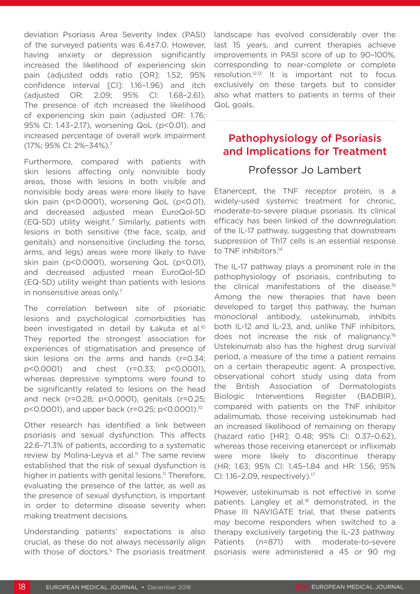deviation Psoriasis Area Severity Index (PASI) of the surveyed patients was 6.4±7.0. However, having anxiety or depression significantly increased the likelihood of experiencing skin pain (adjusted odds ratio [OR]: 1.52; 95% confidence interval [CI]: 1.16–1.96) and itch (adjusted OR: 2.09; 95% CI: 1.68–2.61). The presence of itch increased the likelihood of experiencing skin pain (adjusted OR: 1.76; 95% CI: 1.43–2.17), worsening QoL (p<0.01), and increased percentage of overall work impairment (17%; 95% CI: 2%–34%).7

Furthermore, compared with patients with skin lesions affecting only nonvisible body areas, those with lesions in both visible and nonvisible body areas were more likely to have skin pain (p<0.0001), worsening QoL (p<0.01), and decreased adjusted mean EuroQol-5D (EQ-5D) utility weight.<sup>7</sup> Similarly, patients with lesions in both sensitive (the face, scalp, and genitals) and nonsensitive (including the torso, arms, and legs) areas were more likely to have skin pain (p<0.0001), worsening QoL (p<0.01), and decreased adjusted mean EuroQol-5D (EQ-5D) utility weight than patients with lesions in nonsensitive areas only.<sup>7</sup>

The correlation between site of psoriatic lesions and psychological comorbidities has been investigated in detail by Łakuta et al.<sup>10</sup> They reported the strongest association for experiences of stigmatisation and presence of skin lesions on the arms and hands (r=0.34; p<0.0001) and chest (r=0.33; p<0.0001), whereas depressive symptoms were found to be significantly related to lesions on the head and neck (r=0.28; p<0.0001), genitals (r=0.25; p<0.0001), and upper back (r=0.25; p<0.0001).10

Other research has identified a link between psoriasis and sexual dysfunction. This affects 22.6–71.3% of patients, according to a systematic review by Molina-Leyva et al.<sup>11</sup> The same review established that the risk of sexual dysfunction is higher in patients with genital lesions.<sup>11</sup> Therefore, evaluating the presence of the latter, as well as the presence of sexual dysfunction, is important in order to determine disease severity when making treatment decisions.

Understanding patients' expectations is also crucial, as these do not always necessarily align with those of doctors.<sup>5</sup> The psoriasis treatment

landscape has evolved considerably over the last 15 years, and current therapies achieve improvements in PASI score of up to 90–100%, corresponding to near-complete or complete resolution.12,13 It is important not to focus exclusively on these targets but to consider also what matters to patients in terms of their QoL goals.

# Pathophysiology of Psoriasis and Implications for Treatment

# Professor Jo Lambert

Etanercept, the TNF receptor protein, is a widely-used systemic treatment for chronic, moderate-to-severe plaque psoriasis. Its clinical efficacy has been linked of the downregulation of the IL-17 pathway, suggesting that downstream suppression of Th17 cells is an essential response to TNF inhibitors.<sup>14</sup>

The IL-17 pathway plays a prominent role in the pathophysiology of psoriasis, contributing to the clinical manifestations of the disease.15 Among the new therapies that have been developed to target this pathway, the human monoclonal antibody, ustekinumab, inhibits both IL-12 and IL-23, and, unlike TNF inhibitors, does not increase the risk of malignancy.16 Ustekinumab also has the highest drug survival period, a measure of the time a patient remains on a certain therapeutic agent. A prospective, observational cohort study using data from the British Association of Dermatologists Biologic Interventions Register (BADBIR), compared with patients on the TNF inhibitor adalimumab, those receiving ustekinumab had an increased likelihood of remaining on therapy (hazard ratio [HR]: 0.48; 95% CI: 0.37–0.62), whereas those receiving etanercept or infliximab were more likely to discontinue therapy (HR: 1.63; 95% CI: 1.45–1.84 and HR: 1.56; 95% CI: 1.16–2.09, respectively).17

However, ustekinumab is not effective in some patients. Langley et al.<sup>18</sup> demonstrated, in the Phase III NAVIGATE trial, that these patients may become responders when switched to a therapy exclusively targeting the IL-23 pathway. Patients (n=871) with moderate-to-severe psoriasis were administered a 45 or 90 mg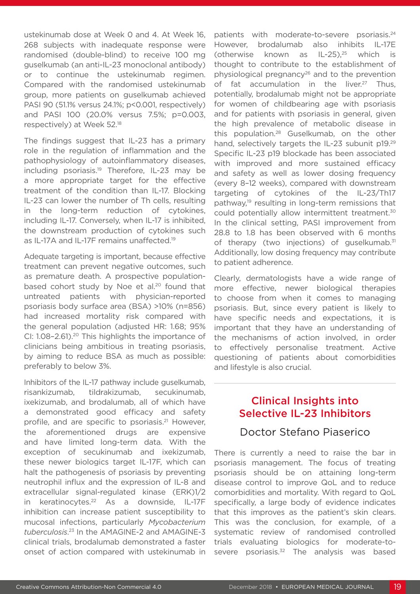ustekinumab dose at Week 0 and 4. At Week 16, 268 subjects with inadequate response were randomised (double-blind) to receive 100 mg guselkumab (an anti-IL-23 monoclonal antibody) or to continue the ustekinumab regimen. Compared with the randomised ustekinumab group, more patients on guselkumab achieved PASI 90 (51.1% versus 24.1%; p<0.001, respectively) and PASI 100 (20.0% versus 7.5%; p=0.003, respectively) at Week 52.18

The findings suggest that IL-23 has a primary role in the regulation of inflammation and the pathophysiology of autoinflammatory diseases, including psoriasis.<sup>19</sup> Therefore, IL-23 may be a more appropriate target for the effective treatment of the condition than IL-17. Blocking IL-23 can lower the number of Th cells, resulting in the long-term reduction of cytokines, including IL-17. Conversely, when IL-17 is inhibited, the downstream production of cytokines such as IL-17A and IL-17F remains unaffected.<sup>19</sup>

Adequate targeting is important, because effective treatment can prevent negative outcomes, such as premature death. A prospective populationbased cohort study by Noe et al.<sup>20</sup> found that untreated patients with physician-reported psoriasis body surface area (BSA) >10% (n=856) had increased mortality risk compared with the general population (adjusted HR: 1.68; 95% CI: 1.08-2.61).<sup>20</sup> This highlights the importance of clinicians being ambitious in treating psoriasis, by aiming to reduce BSA as much as possible: preferably to below 3%.

Inhibitors of the IL-17 pathway include guselkumab, risankizumab, tildrakizumab, secukinumab, ixekizumab, and brodalumab, all of which have a demonstrated good efficacy and safety profile, and are specific to psoriasis.<sup>21</sup> However, the aforementioned drugs are expensive and have limited long-term data. With the exception of secukinumab and ixekizumab, these newer biologics target IL-17F, which can halt the pathogenesis of psoriasis by preventing neutrophil influx and the expression of IL-8 and extracellular signal-regulated kinase (ERK)1/2 in keratinocytes.<sup>22</sup> As a downside, IL-17F inhibition can increase patient susceptibility to mucosal infections, particularly *Mycobacterium tuberculosis*. 23 In the AMAGINE-2 and AMAGINE-3 clinical trials, brodalumab demonstrated a faster onset of action compared with ustekinumab in

patients with moderate-to-severe psoriasis.<sup>24</sup> However, brodalumab also inhibits IL-17E (otherwise known as  $IL-25$ ), $25$  which is thought to contribute to the establishment of physiological pregnancy26 and to the prevention of fat accumulation in the liver.<sup>27</sup> Thus, potentially, brodalumab might not be appropriate for women of childbearing age with psoriasis and for patients with psoriasis in general, given the high prevalence of metabolic disease in this population.<sup>28</sup> Guselkumab, on the other hand, selectively targets the IL-23 subunit p19.29 Specific IL-23 p19 blockade has been associated with improved and more sustained efficacy and safety as well as lower dosing frequency (every 8–12 weeks), compared with downstream targeting of cytokines of the IL-23/Th17 pathway,<sup>19</sup> resulting in long-term remissions that could potentially allow intermittent treatment.30 In the clinical setting, PASI improvement from 28.8 to 1.8 has been observed with 6 months of therapy (two injections) of guselkumab.<sup>31</sup> Additionally, low dosing frequency may contribute to patient adherence.

Clearly, dermatologists have a wide range of more effective, newer biological therapies to choose from when it comes to managing psoriasis. But, since every patient is likely to have specific needs and expectations, it is important that they have an understanding of the mechanisms of action involved, in order to effectively personalise treatment. Active questioning of patients about comorbidities and lifestyle is also crucial.

# Clinical Insights into Selective IL-23 Inhibitors

#### Doctor Stefano Piaserico

There is currently a need to raise the bar in psoriasis management. The focus of treating psoriasis should be on attaining long-term disease control to improve QoL and to reduce comorbidities and mortality. With regard to QoL specifically, a large body of evidence indicates that this improves as the patient's skin clears. This was the conclusion, for example, of a systematic review of randomised controlled trials evaluating biologics for moderate-tosevere psoriasis.<sup>32</sup> The analysis was based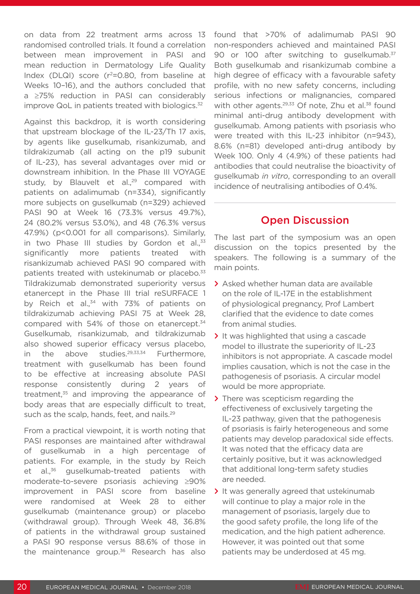on data from 22 treatment arms across 13 randomised controlled trials. It found a correlation between mean improvement in PASI and mean reduction in Dermatology Life Quality Index (DLQI) score ( $r^2$ =0.80, from baseline at Weeks 10–16), and the authors concluded that a ≥75% reduction in PASI can considerably improve QoL in patients treated with biologics. $32$ 

Against this backdrop, it is worth considering that upstream blockage of the IL-23/Th 17 axis, by agents like guselkumab, risankizumab, and tildrakizumab (all acting on the p19 subunit of IL-23), has several advantages over mid or downstream inhibition. In the Phase III VOYAGE study, by Blauvelt et al.,<sup>29</sup> compared with patients on adalimumab (n=334), significantly more subjects on guselkumab (n=329) achieved PASI 90 at Week 16 (73.3% versus 49.7%), 24 (80.2% versus 53.0%), and 48 (76.3% versus 47.9%) (p<0.001 for all comparisons). Similarly, in two Phase III studies by Gordon et al., $33$ significantly more patients treated with risankizumab achieved PASI 90 compared with patients treated with ustekinumab or placebo.<sup>33</sup> Tildrakizumab demonstrated superiority versus etanercept in the Phase III trial reSURFACE 1 by Reich et al.,<sup>34</sup> with 73% of patients on tildrakizumab achieving PASI 75 at Week 28, compared with 54% of those on etanercept.34 Guselkumab, risankizumab, and tildrakizumab also showed superior efficacy versus placebo, in the above studies. $29,33,34$  Furthermore, treatment with guselkumab has been found to be effective at increasing absolute PASI response consistently during 2 years of treatment, $35$  and improving the appearance of body areas that are especially difficult to treat, such as the scalp, hands, feet, and nails.<sup>29</sup>

From a practical viewpoint, it is worth noting that PASI responses are maintained after withdrawal of guselkumab in a high percentage of patients. For example, in the study by Reich et al.,<sup>36</sup> guselkumab-treated patients with moderate-to-severe psoriasis achieving ≥90% improvement in PASI score from baseline were randomised at Week 28 to either guselkumab (maintenance group) or placebo (withdrawal group). Through Week 48, 36.8% of patients in the withdrawal group sustained a PASI 90 response versus 88.6% of those in the maintenance group.<sup>36</sup> Research has also

found that >70% of adalimumab PASI 90 non-responders achieved and maintained PASI 90 or 100 after switching to guselkumab.<sup>37</sup> Both guselkumab and risankizumab combine a high degree of efficacy with a favourable safety profile, with no new safety concerns, including serious infections or malignancies, compared with other agents.<sup>29,33</sup> Of note, Zhu et al.<sup>38</sup> found minimal anti-drug antibody development with guselkumab. Among patients with psoriasis who were treated with this IL-23 inhibitor (n=943), 8.6% (n=81) developed anti-drug antibody by Week 100. Only 4 (4.9%) of these patients had antibodies that could neutralise the bioactivity of guselkumab *in vitro*, corresponding to an overall incidence of neutralising antibodies of 0.4%.

# Open Discussion

The last part of the symposium was an open discussion on the topics presented by the speakers. The following is a summary of the main points.

- **>** Asked whether human data are available on the role of IL-17E in the establishment of physiological pregnancy, Prof Lambert clarified that the evidence to date comes from animal studies.
- **>** It was highlighted that using a cascade model to illustrate the superiority of IL-23 inhibitors is not appropriate. A cascade model implies causation, which is not the case in the pathogenesis of psoriasis. A circular model would be more appropriate.
- **>** There was scepticism regarding the effectiveness of exclusively targeting the IL-23 pathway, given that the pathogenesis of psoriasis is fairly heterogeneous and some patients may develop paradoxical side effects. It was noted that the efficacy data are certainly positive, but it was acknowledged that additional long-term safety studies are needed.
- **>** It was generally agreed that ustekinumab will continue to play a major role in the management of psoriasis, largely due to the good safety profile, the long life of the medication, and the high patient adherence. However, it was pointed out that some patients may be underdosed at 45 mg.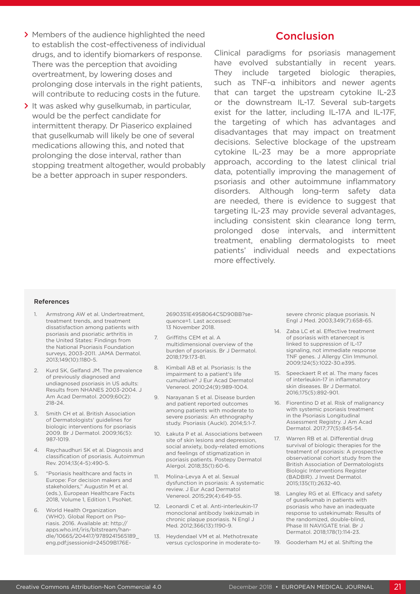- **>** Members of the audience highlighted the need to establish the cost-effectiveness of individual drugs, and to identify biomarkers of response. There was the perception that avoiding overtreatment, by lowering doses and prolonging dose intervals in the right patients, will contribute to reducing costs in the future.
- **>** It was asked why guselkumab, in particular, would be the perfect candidate for intermittent therapy. Dr Piaserico explained that guselkumab will likely be one of several medications allowing this, and noted that prolonging the dose interval, rather than stopping treatment altogether, would probably be a better approach in super responders.

# **Conclusion**

Clinical paradigms for psoriasis management have evolved substantially in recent years. They include targeted biologic therapies, such as TNF-α inhibitors and newer agents that can target the upstream cytokine IL-23 or the downstream IL-17. Several sub-targets exist for the latter, including IL-17A and IL-17F, the targeting of which has advantages and disadvantages that may impact on treatment decisions. Selective blockage of the upstream cytokine IL-23 may be a more appropriate approach, according to the latest clinical trial data, potentially improving the management of psoriasis and other autoimmune inflammatory disorders. Although long-term safety data are needed, there is evidence to suggest that targeting IL-23 may provide several advantages, including consistent skin clearance long term, prolonged dose intervals, and intermittent treatment, enabling dermatologists to meet patients' individual needs and expectations more effectively.

#### References

- 1. Armstrong AW et al. Undertreatment, treatment trends, and treatment dissatisfaction among patients with psoriasis and psoriatic arthritis in the United States: Findings from the National Psoriasis Foundation surveys, 2003-2011. JAMA Dermatol. 2013;149(10):1180-5.
- 2. Kurd SK, Gelfand JM. The prevalence of previously diagnosed and undiagnosed psoriasis in US adults: Results from NHANES 2003-2004. J Am Acad Dermatol. 2009;60(2): 218-24.
- 3. Smith CH et al. British Association of Dermatologists' guidelines for biologic interventions for psoriasis 2009. Br J Dermatol. 2009;16(5): 987-1019.
- 4. Raychaudhuri SK et al. Diagnosis and classification of psoriasis. Autoimmun Rev. 2014;13(4-5):490-5.
- 5. "Psoriasis healthcare and facts in Europe: For decision makers and stakeholders," Augustin M et al. (eds.), European Healthcare Facts 2018, Volume 1, Edition 1, PsoNet.
- 6. World Health Organization (WHO). Global Report on Psoriasis. 2016. Available at: http:// apps.who.int/iris/bitstream/handle/10665/204417/9789241565189\_ eng.pdf;jsessionid=24509B176E-

2690351E4958064C5D90BB?sequence=1. Last accessed: 13 November 2018.

- 7. Griffiths CEM et al. A multidimensional overview of the burden of psoriasis. Br J Dermatol. 2018;179:173-81.
- 8. Kimball AB et al. Psoriasis: Is the impairment to a patient's life cumulative? J Eur Acad Dermatol Venereol. 2010;24(9):989-1004.
- 9. Narayanan S et al. Disease burden and patient reported outcomes among patients with moderate to severe psoriasis: An ethnography study. Psoriasis (Auckl). 2014;5:1-7.
- 10. Łakuta P et al. Associations between site of skin lesions and depression, social anxiety, body-related emotions and feelings of stigmatization in psoriasis patients. Postepy Dermatol Alergol. 2018;35(1):60-6.
- 11. Molina-Levya A et al. Sexual dysfunction in psoriasis: A systematic review. J Eur Acad Dermatol Venereol. 2015;29(4):649-55.
- 12. Leonardi C et al. Anti-interleukin-17 monoclonal antibody Ixekizumab in chronic plaque psoriasis. N Engl J Med. 2012;366(13):1190-9.
- 13. Heydendael VM et al. Methotrexate versus cyclosporine in moderate-to-

severe chronic plaque psoriasis. N Engl J Med. 2003;349(7):658-65.

- 14. Zaba LC et al. Effective treatment of psoriasis with etanercept is linked to suppression of IL-17 signaling, not immediate response TNF genes. J Allergy Clin Immunol. 2009;124(5):1022-30.e395.
- 15. Speeckaert R et al. The many faces of interleukin-17 in inflammatory skin diseases. Br J Dermatol. 2016;175(5):892-901.
- 16. Fiorentino D et al. Risk of malignancy with systemic psoriasis treatment in the Psoriasis Longitudinal Assessment Registry. J Am Acad Dermatol. 2017;77(5):845-54.
- 17. Warren RB et al. Differential drug survival of biologic therapies for the treatment of psoriasis: A prospective observational cohort study from the British Association of Dermatologists Biologic Interventions Register (BADBIR). J Invest Dermatol. 2015;135(11):2632-40.
- 18. Langley RG et al. Efficacy and safety of guselkumab in patients with psoriasis who have an inadequate response to ustekinumab: Results of the randomized, double-blind, Phase III NAVIGATE trial. Br J Dermatol. 2018;178(1):114-23.
- 19. Gooderham MJ et al. Shifting the